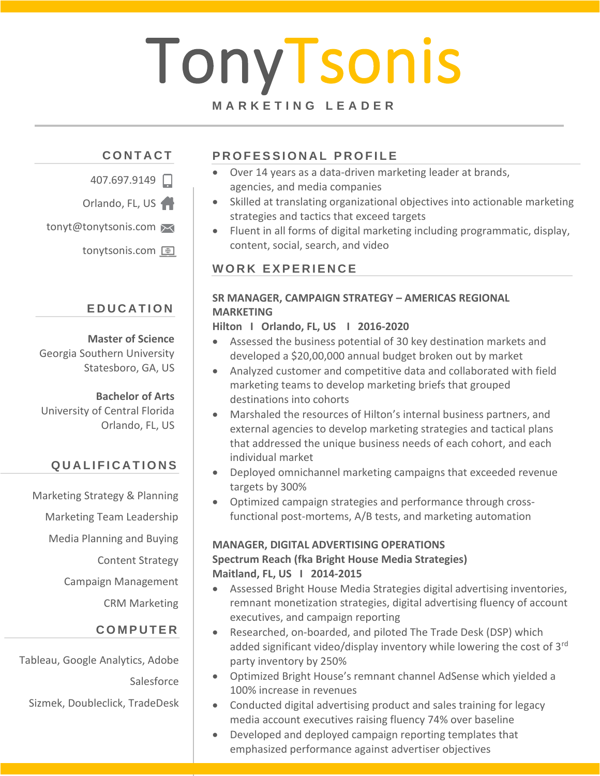# TonyTsonis

#### **M A R K E T I N G L E A D E R**

# **C O N T A C T**



Orlando, FL, US

tonyt@tonytsonis.com

tonytsonis.com <sup>@</sup>

#### **E D U C A T I O N**

#### **Master of Science** Georgia Southern University Statesboro, GA, US

**Bachelor of Arts** University of Central Florida Orlando, FL, US

## **Q U A L I F I C A T I O N S**

Marketing Strategy & Planning

Marketing Team Leadership Media Planning and Buying Content Strategy Campaign Management CRM Marketing

#### **C O M P U T E R**

Tableau, Google Analytics, Adobe **Salesforce** 

Sizmek, Doubleclick, TradeDesk

## **PROFESSIONAL PROFILE**

- Over 14 years as a data-driven marketing leader at brands, agencies, and media companies
- Skilled at translating organizational objectives into actionable marketing strategies and tactics that exceed targets
- Fluent in all forms of digital marketing including programmatic, display, content, social, search, and video

#### WORK EXPERIENCE

#### **SR MANAGER, CAMPAIGN STRATEGY – AMERICAS REGIONAL MARKETING**

#### **Hilton I Orlando, FL, US I 2016-2020**

- Assessed the business potential of 30 key destination markets and developed a \$20,00,000 annual budget broken out by market
- Analyzed customer and competitive data and collaborated with field marketing teams to develop marketing briefs that grouped destinations into cohorts
- Marshaled the resources of Hilton's internal business partners, and external agencies to develop marketing strategies and tactical plans that addressed the unique business needs of each cohort, and each individual market
- Deployed omnichannel marketing campaigns that exceeded revenue targets by 300%
- Optimized campaign strategies and performance through crossfunctional post-mortems, A/B tests, and marketing automation

#### **MANAGER, DIGITAL ADVERTISING OPERATIONS Spectrum Reach (fka Bright House Media Strategies) Maitland, FL, US I 2014-2015**

- Assessed Bright House Media Strategies digital advertising inventories, remnant monetization strategies, digital advertising fluency of account executives, and campaign reporting
- Researched, on-boarded, and piloted The Trade Desk (DSP) which added significant video/display inventory while lowering the cost of 3<sup>rd</sup> party inventory by 250%
- Optimized Bright House's remnant channel AdSense which yielded a 100% increase in revenues
- Conducted digital advertising product and sales training for legacy media account executives raising fluency 74% over baseline
- Developed and deployed campaign reporting templates that emphasized performance against advertiser objectives